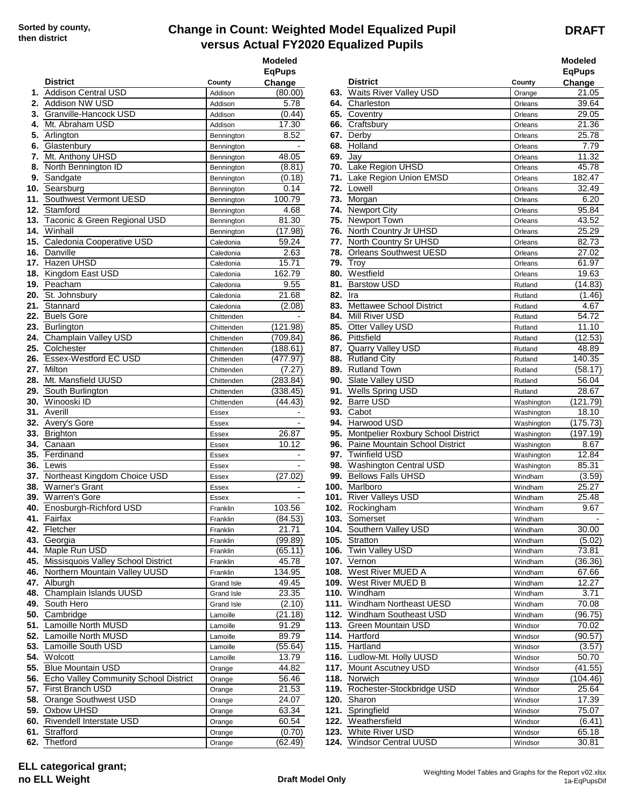## **Change in Count: Weighted Model Equalized Pupil versus Actual FY2020 Equalized Pupils**

**DRAFT**

| <b>District</b>                           |                    | <b>Modeled</b><br><b>EqPups</b><br>Change |      | <b>District</b>                          |            | <b>Modeled</b><br><b>EqPups</b><br>Change |
|-------------------------------------------|--------------------|-------------------------------------------|------|------------------------------------------|------------|-------------------------------------------|
| 1. Addison Central USD                    | County             |                                           |      | 63. Waits River Valley USD               | County     | 21.05                                     |
| Addison NW USD                            | Addison            | (80.00)<br>5.78                           |      | 64. Charleston                           | Orange     | 39.64                                     |
| 2.<br>3. Granville-Hancock USD            | Addison            |                                           |      | 65. Coventry                             | Orleans    | 29.05                                     |
| 4. Mt. Abraham USD                        | Addison<br>Addison | (0.44)<br>17.30                           |      | 66. Craftsbury                           | Orleans    | 21.36                                     |
| 5. Arlington                              |                    | 8.52                                      |      | 67. Derby                                | Orleans    | 25.78                                     |
|                                           | Bennington         | $\overline{\phantom{a}}$                  |      | 68. Holland                              | Orleans    | 7.79                                      |
| 6. Glastenbury                            | Bennington         | 48.05                                     |      | 69. Jay                                  | Orleans    | 11.32                                     |
| 7. Mt. Anthony UHSD                       | Bennington         |                                           |      | 70. Lake Region UHSD                     | Orleans    |                                           |
| 8. North Bennington ID                    | Bennington         | (8.81)                                    |      |                                          | Orleans    | 45.78                                     |
| 9. Sandgate                               | Bennington         | (0.18)                                    |      | 71. Lake Region Union EMSD<br>72. Lowell | Orleans    | 182.47                                    |
| 10. Searsburg                             | Bennington         | 0.14                                      |      |                                          | Orleans    | 32.49                                     |
| 11. Southwest Vermont UESD                | Bennington         | 100.79                                    | 73.  | Morgan                                   | Orleans    | 6.20                                      |
| 12. Stamford                              | Bennington         | 4.68                                      | 74.  | <b>Newport City</b>                      | Orleans    | 95.84                                     |
| 13. Taconic & Green Regional USD          | Bennington         | 81.30                                     |      | 75. Newport Town                         | Orleans    | 43.52                                     |
| <b>14.</b> Winhall                        | Bennington         | (17.98)                                   |      | 76. North Country Jr UHSD                | Orleans    | 25.29                                     |
| 15. Caledonia Cooperative USD             | Caledonia          | 59.24                                     | 77.  | North Country Sr UHSD                    | Orleans    | 82.73                                     |
| 16. Danville                              | Caledonia          | 2.63                                      | 78.  | <b>Orleans Southwest UESD</b>            | Orleans    | 27.02                                     |
| 17. Hazen UHSD                            | Caledonia          | 15.71                                     | 79.  | <b>Troy</b>                              | Orleans    | 61.97                                     |
| 18. Kingdom East USD                      | Caledonia          | 162.79                                    | 80.  | Westfield                                | Orleans    | 19.63                                     |
| 19. Peacham                               | Caledonia          | 9.55                                      | 81.  | <b>Barstow USD</b>                       | Rutland    | (14.83)                                   |
| 20. St. Johnsbury                         | Caledonia          | 21.68                                     | 82.  | Ira                                      | Rutland    | (1.46)                                    |
| 21. Stannard                              | Caledonia          | (2.08)                                    | 83.  | <b>Mettawee School District</b>          | Rutland    | 4.67                                      |
| 22. Buels Gore                            | Chittenden         |                                           |      | 84. Mill River USD                       | Rutland    | 54.72                                     |
| 23. Burlington                            | Chittenden         | (121.98)                                  | 85.  | Otter Valley USD                         | Rutland    | 11.10                                     |
| 24. Champlain Valley USD                  | Chittenden         | (709.84)                                  | 86.  | Pittsfield                               | Rutland    | (12.53)                                   |
| 25. Colchester                            | Chittenden         | (188.61)                                  |      | 87. Quarry Valley USD                    | Rutland    | 48.89                                     |
| 26. Essex-Westford EC USD                 | Chittenden         | (477.97)                                  |      | 88. Rutland City                         | Rutland    | 140.35                                    |
| 27. Milton                                | Chittenden         | (7.27)                                    | 89.  | <b>Rutland Town</b>                      | Rutland    | (58.17)                                   |
| 28. Mt. Mansfield UUSD                    | Chittenden         | (283.84)                                  | 90.  | Slate Valley USD                         | Rutland    | 56.04                                     |
| 29. South Burlington                      | Chittenden         | (338.45)                                  |      | 91. Wells Spring USD                     | Rutland    | 28.67                                     |
| 30. Winooski ID                           | Chittenden         | (44.43)                                   |      | 92. Barre USD                            | Washington | (121.79)                                  |
| 31. Averill                               | Essex              | $\blacksquare$                            | 93.  | Cabot                                    | Washington | 18.10                                     |
| 32. Avery's Gore                          | Essex              |                                           | 94.  | Harwood USD                              | Washington | (175.73)                                  |
| 33. Brighton                              | Essex              | 26.87                                     | 95.  | Montpelier Roxbury School District       | Washington | (197.19)                                  |
| 34. Canaan                                | Essex              | 10.12                                     |      | 96. Paine Mountain School District       | Washington | 8.67                                      |
| 35. Ferdinand                             | Essex              | $\blacksquare$                            | 97.  | <b>Twinfield USD</b>                     | Washington | 12.84                                     |
| 36. Lewis                                 |                    |                                           | 98.  | <b>Washington Central USD</b>            |            | 85.31                                     |
| 37. Northeast Kingdom Choice USD          | Essex              | (27.02)                                   |      | 99. Bellows Falls UHSD                   | Washington | (3.59)                                    |
|                                           | Essex              |                                           |      |                                          | Windham    |                                           |
| <b>38.</b> Warner's Grant                 | Essex              |                                           | 100. | Marlboro                                 | Windham    | 25.27                                     |
| 39. Warren's Gore                         | Essex              |                                           |      | 101. River Valleys USD                   | Windham    | 25.48                                     |
| <b>40.</b> Enosburgh-Richford USD         | Franklin           | 103.56                                    |      | <b>102.</b> Rockingham                   | Windham    | 9.67                                      |
| 41. Fairfax                               | Franklin           | (84.53)                                   |      | 103. Somerset                            | Windham    |                                           |
| 42. Fletcher                              | Franklin           | 21.71                                     |      | 104. Southern Valley USD                 | Windham    | 30.00                                     |
| <b>43.</b> Georgia                        | Franklin           | (99.89)                                   |      | 105. Stratton                            | Windham    | (5.02)                                    |
| 44. Maple Run USD                         | Franklin           | (65.11)                                   |      | 106. Twin Valley USD                     | Windham    | 73.81                                     |
| 45. Missisquois Valley School District    | Franklin           | 45.78                                     |      | 107. Vernon                              | Windham    | (36.36)                                   |
| 46. Northern Mountain Valley UUSD         | Franklin           | 134.95                                    |      | 108. West River MUED A                   | Windham    | 67.66                                     |
| 47. Alburgh                               | Grand Isle         | 49.45                                     |      | 109. West River MUED B                   | Windham    | 12.27                                     |
| 48. Champlain Islands UUSD                | Grand Isle         | 23.35                                     |      | 110. Windham                             | Windham    | 3.71                                      |
| 49. South Hero                            | Grand Isle         | (2.10)                                    |      | 111. Windham Northeast UESD              | Windham    | 70.08                                     |
| 50. Cambridge                             | Lamoille           | (21.18)                                   |      | 112. Windham Southeast USD               | Windham    | (96.75)                                   |
| 51. Lamoille North MUSD                   | Lamoille           | 91.29                                     |      | 113. Green Mountain USD                  | Windsor    | 70.02                                     |
| 52. Lamoille North MUSD                   | Lamoille           | 89.79                                     |      | 114. Hartford                            | Windsor    | (90.57)                                   |
| 53. Lamoille South USD                    | Lamoille           | (55.64)                                   |      | 115. Hartland                            | Windsor    | (3.57)                                    |
| 54. Wolcott                               | Lamoille           | 13.79                                     |      | 116. Ludlow-Mt. Holly UUSD               | Windsor    | 50.70                                     |
| 55. Blue Mountain USD                     | Orange             | 44.82                                     |      | 117. Mount Ascutney USD                  | Windsor    | (41.55)                                   |
| 56. Echo Valley Community School District | Orange             | 56.46                                     |      | 118. Norwich                             | Windsor    | (104.46)                                  |
| 57. First Branch USD                      | Orange             | 21.53                                     |      | 119. Rochester-Stockbridge USD           | Windsor    | 25.64                                     |
| 58. Orange Southwest USD                  | Orange             | 24.07                                     |      | 120. Sharon                              | Windsor    | 17.39                                     |
| <b>59.</b> Oxbow UHSD                     | Orange             | 63.34                                     |      | 121. Springfield                         | Windsor    | 75.07                                     |
| 60. Rivendell Interstate USD              |                    | 60.54                                     |      | 122. Weathersfield                       |            |                                           |
|                                           | Orange             |                                           |      | 123. White River USD                     | Windsor    | (6.41)                                    |
| 61. Strafford                             | Orange             | (0.70)                                    |      | 124. Windsor Central UUSD                | Windsor    | 65.18                                     |
| 62. Thetford                              | Orange             | (62.49)                                   |      |                                          | Windsor    | 30.81                                     |

|     | <b>District</b>                                             | County                 | Modeled<br><b>EqPups</b><br>Change |            | <b>District</b>                     | County             | Modeled<br><b>EgPups</b><br>Change |
|-----|-------------------------------------------------------------|------------------------|------------------------------------|------------|-------------------------------------|--------------------|------------------------------------|
|     | 1. Addison Central USD                                      | Addison                | (80.00)                            |            | 63. Waits River Valley USD          | Orange             | 21.05                              |
| 2.  | <b>Addison NW USD</b>                                       | Addison                | 5.78                               | 64.        | Charleston                          | Orleans            | 39.64                              |
| З.  | Granville-Hancock USD                                       | Addison                | (0.44)                             | 65.        | Coventry                            | Orleans            | 29.05                              |
| 4.  | Mt. Abraham USD                                             | Addison                | 17.30                              | 66.        | Craftsbury                          | Orleans            | 21.36                              |
|     | 5. Arlington                                                | Bennington             | 8.52                               | 67.        | Derby                               | Orleans            | 25.78                              |
| 6.  | Glastenbury                                                 | Bennington             |                                    | 68.        | Holland                             | Orleans            | 7.79                               |
| 7.  | Mt. Anthony UHSD                                            | Bennington             | 48.05                              | 69.        | Jay                                 | Orleans            | 11.32                              |
| 8.  | North Bennington ID                                         | Bennington             | (8.81)                             |            | 70. Lake Region UHSD                | Orleans            | 45.78                              |
| 9.  | Sandgate                                                    | Bennington             | (0.18)                             | 71.        | Lake Region Union EMSD              | Orleans            | 182.47                             |
|     | 10. Searsburg                                               | Bennington             | 0.14                               | 72.        | Lowell                              | Orleans            | 32.49                              |
|     | 11. Southwest Vermont UESD                                  | Bennington             | 100.79                             | 73.        | Morgan                              | Orleans            | 6.20                               |
|     | 12. Stamford                                                | Bennington             | 4.68                               | 74.        | <b>Newport City</b>                 | Orleans            | 95.84                              |
|     | 13. Taconic & Green Regional USD                            | Bennington             | 81.30                              | 75.        | <b>Newport Town</b>                 | Orleans            | 43.52                              |
|     | 14. Winhall                                                 | Bennington             | (17.98)                            |            | 76. North Country Jr UHSD           | Orleans            | 25.29                              |
|     | 15. Caledonia Cooperative USD                               | Caledonia              | 59.24                              |            | 77. North Country Sr UHSD           | Orleans            | 82.73                              |
|     | <b>16.</b> Danville                                         | Caledonia              | 2.63                               |            | 78. Orleans Southwest UESD          | Orleans            | 27.02                              |
|     | 17. Hazen UHSD                                              | Caledonia              | 15.71                              | 79.        | Troy                                | Orleans            | 61.97                              |
|     | 18. Kingdom East USD                                        | Caledonia              | 162.79                             | 80.        | Westfield<br><b>Barstow USD</b>     | Orleans            | 19.63                              |
|     | 19. Peacham<br>20. St. Johnsburv                            | Caledonia              | 9.55<br>21.68                      | 81.<br>82. | Ira                                 | Rutland            | (14.83)                            |
|     | 21. Stannard                                                | Caledonia<br>Caledonia | (2.08)                             | 83.        | Mettawee School District            | Rutland            | (1.46)<br>4.67                     |
|     | 22. Buels Gore                                              | Chittenden             |                                    | 84.        | Mill River USD                      | Rutland<br>Rutland | 54.72                              |
|     | 23. Burlington                                              | Chittenden             | (121.98)                           | 85.        | Otter Valley USD                    | Rutland            | 11.10                              |
|     | 24. Champlain Valley USD                                    | Chittenden             | (709.84)                           | 86.        | Pittsfield                          | Rutland            | (12.53)                            |
|     | 25. Colchester                                              | Chittenden             | (188.61)                           | 87.        | Quarry Valley USD                   | Rutland            | 48.89                              |
|     | 26. Essex-Westford EC USD                                   | Chittenden             | (477.97)                           | 88.        | <b>Rutland City</b>                 | Rutland            | 140.35                             |
|     | 27. Milton                                                  | Chittenden             | (7.27)                             | 89.        | <b>Rutland Town</b>                 | Rutland            | (58.17)                            |
|     | 28. Mt. Mansfield UUSD                                      | Chittenden             | (283.84)                           | 90.        | Slate Valley USD                    | Rutland            | 56.04                              |
| 29. | South Burlington                                            | Chittenden             | (338.45)                           | 91.        | <b>Wells Spring USD</b>             | Rutland            | 28.67                              |
|     | 30. Winooski ID                                             | Chittenden             | (44.43)                            | 92.        | <b>Barre USD</b>                    | Washington         | (121.79)                           |
|     | 31. Averill                                                 | Essex                  |                                    | 93.        | Cabot                               | Washington         | 18.10                              |
|     | 32. Avery's Gore                                            | <b>Essex</b>           |                                    | 94.        | Harwood USD                         | Washington         | (175.73)                           |
|     | 33. Brighton                                                | Essex                  | 26.87                              | 95.        | Montpelier Roxbury School District  | Washington         | (197.19)                           |
|     | 34. Canaan                                                  | Essex                  | 10.12                              | 96.        | Paine Mountain School District      | Washington         | 8.67                               |
|     | 35. Ferdinand                                               | Essex                  |                                    | 97.        | <b>Twinfield USD</b>                | Washington         | 12.84                              |
|     | <b>36.</b> Lewis                                            | Essex                  |                                    | 98.        | <b>Washington Central USD</b>       | Washington         | 85.31                              |
|     | 37. Northeast Kingdom Choice USD                            | Essex                  | (27.02)                            | 99.        | <b>Bellows Falls UHSD</b>           | Windham            | (3.59)                             |
|     | <b>38.</b> Warner's Grant                                   | Essex                  |                                    |            | 100. Marlboro                       | Windham            | 25.27                              |
|     | 39. Warren's Gore                                           | Essex                  |                                    |            | 101. River Valleys USD              | Windham            | 25.48                              |
|     | 40. Enosburgh-Richford USD                                  | Franklin               | 103.56                             |            | 102. Rockingham                     | Windham            | 9.67                               |
|     | 41. Fairfax                                                 | Franklin               | (84.53)                            |            | <b>103.</b> Somerset                | Windham            |                                    |
|     | 42. Fletcher                                                | Franklin               | 21.71<br>(99.89)                   |            | 104. Southern Valley USD            | Windham            | 30.00                              |
|     | 43. Georgia                                                 | Franklin               |                                    |            | 105. Stratton                       | Windham            | (5.02)                             |
|     | 44. Maple Run USD<br>45. Missisquois Valley School District | Franklin               | (65.11)<br>45.78                   |            | 106. Twin Valley USD<br>107. Vernon | Windham            | 73.81                              |
|     | 46. Northern Mountain Valley UUSD                           | Franklin<br>Franklin   | 134.95                             |            | 108. West River MUED A              | Windham<br>Windham | (36.36)<br>67.66                   |
|     | 47. Alburgh                                                 | Grand Isle             | 49.45                              |            | 109. West River MUED B              | Windham            | 12.27                              |
|     | 48. Champlain Islands UUSD                                  | <b>Grand Isle</b>      | 23.35                              |            | 110. Windham                        | Windham            | 3.71                               |
|     | 49. South Hero                                              | Grand Isle             | (2.10)                             |            | 111. Windham Northeast UESD         | Windham            | 70.08                              |
|     | 50. Cambridge                                               | Lamoille               | (21.18)                            |            | 112. Windham Southeast USD          | Windham            | (96.75)                            |
|     | 51. Lamoille North MUSD                                     | Lamoille               | 91.29                              |            | 113. Green Mountain USD             | Windsor            | 70.02                              |
|     | 52. Lamoille North MUSD                                     | Lamoille               | 89.79                              |            | 114. Hartford                       | Windsor            | (90.57)                            |
|     | 53. Lamoille South USD                                      | Lamoille               | (55.64)                            |            | 115. Hartland                       | Windsor            | (3.57)                             |
|     | 54. Wolcott                                                 | Lamoille               | 13.79                              |            | 116. Ludlow-Mt. Holly UUSD          | Windsor            | 50.70                              |
|     | 55. Blue Mountain USD                                       | Orange                 | 44.82                              |            | 117. Mount Ascutney USD             | Windsor            | (41.55)                            |
|     | 56. Echo Valley Community School District                   | Orange                 | 56.46                              |            | 118. Norwich                        | Windsor            | (104.46)                           |
|     | 57. First Branch USD                                        | Orange                 | $\overline{2}$ 1.53                |            | 119. Rochester-Stockbridge USD      | Windsor            | 25.64                              |
|     | 58. Orange Southwest USD                                    | Orange                 | 24.07                              |            | 120. Sharon                         | Windsor            | 17.39                              |
|     | 59. Oxbow UHSD                                              | Orange                 | 63.34                              |            | 121. Springfield                    | Windsor            | 75.07                              |
|     | 60. Rivendell Interstate USD                                | Orange                 | 60.54                              |            | 122. Weathersfield                  | Windsor            | (6.41)                             |
|     | 61. Strafford                                               | Orange                 | (0.70)                             |            | 123. White River USD                | Windsor            | 65.18                              |
|     | 62. Thetford                                                | Orange                 | (62.49)                            |            | 124. Windsor Central UUSD           | Windsor            | 30.81                              |

**ELL categorical grant; no ELL Weight Draft Model Only**